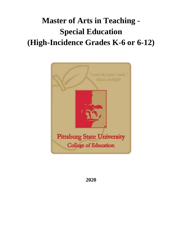# **Master of Arts in Teaching - Special Education (High-Incidence Grades K-6 or 6-12)**



**2020**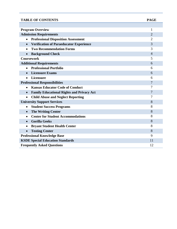| <b>TABLE OF CONTENTS</b>                                      | <b>PAGE</b>    |
|---------------------------------------------------------------|----------------|
|                                                               |                |
| <b>Program Overview</b>                                       | 1              |
| <b>Admission Requirements</b>                                 | $\overline{2}$ |
| <b>Professional Disposition Assessment</b><br>$\bullet$       | 2              |
| <b>Verification of Paraeducator Experience</b><br>$\bullet$   | 3              |
| <b>Two Recommendation Forms</b>                               | 3              |
| <b>Background Check</b><br>$\bullet$                          | $\overline{4}$ |
| <b>Coursework</b>                                             | 5              |
| <b>Additional Requirements</b>                                | 6              |
| <b>Professional Portfolio</b>                                 | 6              |
| <b>Licensure Exams</b><br>$\bullet$                           | 6              |
| <b>Licensure</b>                                              | 6              |
| <b>Professional Responsibilities</b>                          | 7              |
| <b>Kansas Educator Code of Conduct</b>                        | 7              |
| <b>Family Educational Rights and Privacy Act</b><br>$\bullet$ | 7              |
| <b>Child Abuse and Neglect Reporting</b><br>$\bullet$         | 7              |
| <b>University Support Services</b>                            | 8              |
| <b>Student Success Programs</b><br>$\bullet$                  | 8              |
| <b>The Writing Center</b><br>$\bullet$                        | 8              |
| <b>Center for Student Accommodations</b><br>$\bullet$         | 8              |
| <b>Gorilla Geeks</b><br>$\bullet$                             | 8              |
| <b>Bryant Student Health Center</b>                           | 8              |
| <b>Testing Center</b><br>$\bullet$                            | 8              |
| <b>Professional Knowledge Base</b>                            | 9              |
| <b>KSDE Special Education Standards</b>                       | 11             |
| <b>Frequently Asked Questions</b>                             | 12             |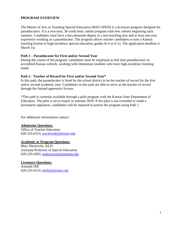## **PROGRAM OVERVIEW**

The Master of Arts in Teaching Special Education (MAT-SPED) is a licensure program designed for paraeducators. It is a two-year, 36 credit hour, online program with new cohorts beginning each summer. Candidates must have a baccalaureate degree in a non-teaching area and at least one-year experience working as a paraeducator. The program allows teacher candidates to earn a Kansas teaching license in high-incidence special education, grades K-6 or 6-12. The application deadline is March 1st.

#### **Path 1 – Paraeducator for First and/or Second Year**

During the course of the program, candidates must be employed as full time paraeducators in accredited Kansas schools, working with elementary students who have high-incidence learning needs.

#### **Path 2 - Teacher of Record for First and/or Second Year\***

In this path, the paraeducator is hired by the school district to be the teacher of record for the first and/or second academic year. Candidates in this path are able to serve as the teacher of record through the limited apprentice license.

\*This path is currently available through a pilot program with the Kansas State Department of Education. The pilot is set to expire in summer 2020. If the pilot is not extended or made a permanent regulation, candidates will be required to pursue the program using Path 1.

For additional information contact:

#### **Admission Questions:**

Office of Teacher Education 620-235-6153; [teachered@pittstate.edu](mailto:teachered@pittstate.edu)

#### **Academic or Program Questions:**

Marc Daczewitz, Ed.D. Assistant Professor of Special Education 620-235-4393; [mdaczewitz@pittstate.edu](mailto:Mdaczewitz@pittstate.edu)

**Licensure Questions:** Amanda Hill 620-235-6153; [ahill@pittstate.edu](mailto:ahill@pittstate.edu)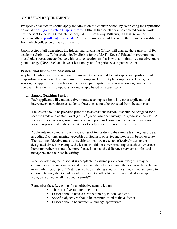# **ADMISSION REQUIREMENTS**

Prospective candidates should apply for admission to Graduate School by completing the application online at [https://go.pittstate.edu/apps.intro.v2.](https://go.pittstate.edu/apps.intro.v2) Official transcripts for all completed course work must be sent to the PSU Graduate School, 1701 S. Broadway, Pittsburg, Kansas, 66762 or electronically to  $\frac{1}{2}$  is  $\frac{1}{2}$  is  $\frac{1}{2}$  is  $\frac{1}{2}$  and  $\frac{1}{2}$  and  $\frac{1}{2}$  are transcript should be submitted from each institution from which college credit has been earned.

Upon receipt of all transcripts, the Educational Licensing Officer will analyze the transcript(s) for academic eligibility. To be academically eligible for the MAT – Special Education program, one must hold a baccalaureate degree without an education emphasis with a minimum cumulative grade point average (GPA) 3.00 and have at least one year of experience as a paraeducator.

## **Professional Disposition Assessment**

Applicants who meet the academic requirements are invited to participate in a professional disposition assessment. The assessment is comprised of multiple components. During the session, the applicant will teach a sample lesson, participate in a group discussion, complete a personal interview, and compose a writing sample based on a case study.

## **1. Sample Teaching Session**

Each applicant will conduct a five-minute teaching session while other applicants and interviewers participate as students. Questions should be expected from the audience.

The lesson should be prepared prior to the assessment session. It should be designed for a specific grade and content level (i.e.  $12<sup>th</sup>$  grade American history,  $8<sup>th</sup>$  grade science, etc.). A successful lesson is organized around a main point or learning objective and makes use of age-appropriate materials and strategies to help students master the information.

Applicants may choose from a wide range of topics during the sample teaching lesson, such as adding fractions, naming vegetables in Spanish, or reviewing how a bill becomes a law. The learning objective must be specific so it can be presented effectively during the designated time. For example, the lesson should not cover broad topics such as American literature; rather, it should be more focused such as the difference between similes and metaphors and their use in writing.

When developing the lesson, it is acceptable to assume prior knowledge; this may be communicated to interviewers and other candidates by beginning the lesson with a reference to an earlier lesson (e.g. "Yesterday we began talking about similes. Today, we are going to continue talking about similes and learn about another literary device called a metaphor. Now, can someone tell me about a simile?")

Remember these key points for an effective sample lesson:

- There is a five-minute time limit.
- Lessons should have a clear beginning, middle, and end.
- Specific objectives should be communicated to the audience.
- Lessons should be interactive and age-appropriate.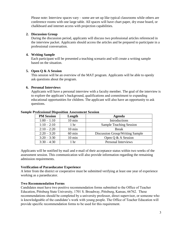Please note: Interview spaces vary – some are set up like typical classrooms while others are conference rooms with one large table. All spaces will have chart paper, dry erase board, or chalkboard and internet access with projection capabilities*.*

#### **2. Discussion Group**

During the discussion period, applicants will discuss two professional articles referenced in the interview packet. Applicants should access the articles and be prepared to participate in a professional conversation.

#### **4. Writing Sample**

Each participant will be presented a teaching scenario and will create a writing sample based on the situation.

#### **5. Open Q & A Session**

This session will be an overview of the MAT program. Applicants will be able to openly ask questions about the program.

#### **6. Personal Interviews**

Applicants will have a personal interview with a faculty member. The goal of the interview is to explore the applicant's background, qualifications and commitment to expanding educational opportunities for children. The applicant will also have an opportunity to ask questions.

| <b>PM Session</b> | Length           | Agenda                          |
|-------------------|------------------|---------------------------------|
| $1:00 - 1:10$     | $10 \text{ min}$ | Introductions                   |
| $1:10 - 2:10$     | 1 <sub>hr</sub>  | <b>Sample Teaching Session</b>  |
| $2:10 - 2:20$     | $10 \text{ min}$ | <b>Break</b>                    |
| $2:20 - 3:20$     | $60 \text{ min}$ | Discussion Group/Writing Sample |
| $3:20 - 3:30$     | $10 \text{ min}$ | Open Q & A Session              |
| $3:30 - 4:30$     | hr               | Personal Interviews             |

#### **Sample Professional Disposition Assessment Session**

Applicants will be notified by mail and e-mail of their acceptance status within two weeks of the assessment session. This communication will also provide information regarding the remaining admission requirements.

#### **Verification of Paraeducator Experience**

A letter from the district or cooperative must be submitted verifying at least one year of experience working as a paraeducator.

#### **Two Recommendation Forms**

Candidates must have two positive recommendation forms submitted to the Office of Teacher Education, Pittsburg State University, 1701 S. Broadway, Pittsburg, Kansas, 66762. These recommendations should be completed by a university professor, direct supervisor, or someone who is knowledgeable of the candidate's work with young people. The Office of Teacher Education will provide specific recommendation forms to be used for this requirement.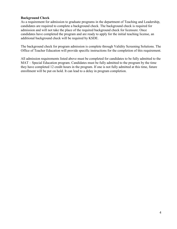## **Background Check**

As a requirement for admission to graduate programs in the department of Teaching and Leadership, candidates are required to complete a background check. The background check is required for admission and will not take the place of the required background check for licensure. Once candidates have completed the program and are ready to apply for the initial teaching license, an additional background check will be required by KSDE.

The background check for program admission is complete through Validity Screening Solutions. The Office of Teacher Education will provide specific instructions for the completion of this requirement.

All admission requirements listed above must be completed for candidates to be fully admitted to the MAT – Special Education program. Candidates must be fully admitted to the program by the time they have completed 12 credit hours in the program. If one is not fully admitted at this time, future enrollment will be put on hold. It can lead to a delay in program completion.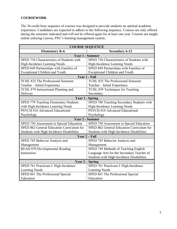# **COURSEWORK**

The 36-credit hour sequence of courses was designed to provide students an optimal academic experience. Candidates are expected to adhere to the following sequence. Courses are only offered during the semester indicated and will not be offered again for at least one year. Courses are taught online utilizing Canvas, PSU's learning management system.

| <b>COURSE SEQUENCE</b>                           |                                            |  |  |
|--------------------------------------------------|--------------------------------------------|--|--|
| <b>Elementary K-6</b>                            | <b>Secondary 6-12</b>                      |  |  |
| <b>Year 1 - Summer</b>                           |                                            |  |  |
| SPED 738 Characteristics of Students with        | SPED 738 Characteristics of Students with  |  |  |
| High-Incidence Learning Needs                    | High-Incidence Learning Needs              |  |  |
| SPED 849 Partnerships with Families of           | SPED 849 Partnerships with Families of     |  |  |
| <b>Exceptional Children and Youth</b>            | <b>Exceptional Children and Youth</b>      |  |  |
|                                                  | Year 1 - Fall                              |  |  |
| <b>TCHL 825 The Professional Semester</b>        | TCHL 825 The Professional Semester         |  |  |
| Teacher - Initial Experience                     | Teacher - Initial Experience               |  |  |
| TCHL 879 Instructional Planning and              | TCHL 839 Techniques for Teaching           |  |  |
| Delivery                                         | Secondary                                  |  |  |
| <b>Year 1 - Spring</b>                           |                                            |  |  |
| SPED 779 Teaching Elementary Students            | SPED 780 Teaching Secondary Students with  |  |  |
| with High-Incidence Learning Needs               | High-Incidence Learning Needs              |  |  |
| PSYCH 810 Advanced Educational                   | PSYCH 810 Advanced Educational             |  |  |
| Psychology                                       | Psychology                                 |  |  |
| <b>Year 2 - Summer</b>                           |                                            |  |  |
| SPED 750 Assessment in Special Education         | SPED 750 Assessment in Special Education   |  |  |
| SPED 862 General Education Curriculum for        | SPED 862 General Education Curriculum for  |  |  |
| <b>Students with High-Incidence Disabilities</b> | Students with High-Incidence Disabilities  |  |  |
| Year 2 – Fall                                    |                                            |  |  |
| SPED 745 Behavior Analysis and                   | SPED 745 Behavior Analysis and             |  |  |
| Management                                       | Management                                 |  |  |
| <b>READ 870 Developmental Reading</b>            | SPED 749 Methods of Teaching English       |  |  |
| Instruction                                      | Language Arts for the Secondary Teacher of |  |  |
|                                                  | Students with High-Incidence Disabilities  |  |  |
| <b>Year 2 – Spring</b>                           |                                            |  |  |
| SPED 761 Practicum I: High-Incidence             | SPED 761 Practicum I: High-Incidence       |  |  |
| <b>Learning Needs</b>                            | <b>Learning Needs</b>                      |  |  |
| SPED 861 The Professional Special                | SPED 861 The Professional Special          |  |  |
| Education                                        | Education                                  |  |  |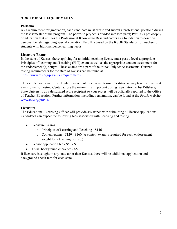# **ADDITIONAL REQUIREMENTS**

### **Portfolio**

As a requirement for graduation, each candidate must create and submit a professional portfolio during the last semester of the program. The portfolio project is divided into two parts; Part I is a philosophy of education that utilizes the Professional Knowledge Base indicators as a foundation to describe personal beliefs regarding special education. Part II is based on the KSDE Standards for teachers of students with high-incidence learning needs.

### **Licensure Exams**

In the state of Kansas, those applying for an initial teaching license must pass a level-appropriate Principles of Learning and Teaching (PLT) exam as well as the appropriate content assessment for the endorsement(s) sought. These exams are a part of the *Praxis* Subject Assessments. Current testing requirements for the state of Kansas can be found at [https://www.ets.org/praxis/ks/requirements.](https://www.ets.org/praxis/ks/requirements)

The *Praxis* exams are offered only in a computer delivered format. Test-takers may take the exams at any Prometric Testing Center across the nation. It is important during registration to list Pittsburg State University as a designated score recipient so your scores will be officially reported to the Office of Teacher Education. Further information, including registration, can be found at the *Praxis* website [www.ets.org/praxis.](http://www.ets.org/praxis)

## **Licensure**

The Educational Licensing Officer will provide assistance with submitting all license applications. Candidates can expect the following fees associated with licensing and testing.

- Licensure Exams
	- o Principles of Learning and Teaching \$146
	- o Content exams –\$120 \$160 (A content exam is required for each endorsement sought for a teaching license.)
- License application fee \$60 \$70
- KSDE background check fee \$50

If licensure is sought in any state other than Kansas, there will be additional application and background check fees for each state.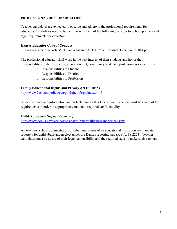# **PROFESSIONAL RESPONSIBILITIES**

Teacher candidates are expected to observe and adhere to the professional requirements for educators. Candidates need to be familiar with each of the following in order to uphold policies and legal requirements for educators.

## **Kansas Educator Code of Conduct**

http://www.ksde.org/Portals/0/TLA/Licensure/KS\_Ed\_Code\_Conduct\_Brochure031014.pdf

The professional educator shall work in the best interest of their students and honor their responsibilities to their students, school, district, community, state and profession as evidence by:

- o Responsibilities to Student
- o Responsibilities to District
- o Responsibilities to Profession

# **Family Educational Rights and Privacy Act (FERPA)**

<http://www2.ed.gov/policy/gen/guid/fpco/ferpa/index.html>

Student records and information are protected under this federal law. Teachers must be aware of the requirements in order to appropriately maintain required confidentiality.

## **Child Abuse and Neglect Reporting**

<http://www.dcf.ks.gov/services/pps/pages/reportchildabuseandneglect.aspx>

All teachers, school administrators or other employees of an educational institution are mandated reporters for child abuse and neglect under the Kansas reporting law (K.S.A. 38-2223). Teacher candidates must be aware of their legal responsibility and the required steps to make such a report.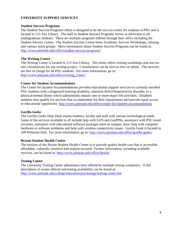### **UNIVERSITY SUPPORT SERVICES**

#### **Student Success Programs**

The Student Success Programs office is designed to be the success center for students at PSU and is located in 113 Axe Library. The staff in Student Success Programs serves as advocates to all undergraduate students. There are multiple programs offered through their office including the Student Success Center. The Student Success Center hosts Academic Success Workshops, tutoring and various study groups. More information about Student Success Programs can be found at: <http://www.pittstate.edu/office/student-success-programs/>

#### **The Writing Center**

The Writing Center is located in 112 Axe Library. The center offers writing workshops and one-onone consultations for any writing project. Consultations can be face-to-face or online. The services are free of charge for all PSU students. For more information, go to: [http://www.pittstate.edu/office/writing\\_center/](http://www.pittstate.edu/office/writing_center/)

#### **Center for Student Accommodations**

The Center for Student Accommodations provides educational support services to currently enrolled PSU students with a diagnosed learning disability, attention deficit/hyperactivity disorder, or a physical/mental illness which substantially impairs one or more major life activities. Disabled students may qualify for services that accommodate for their impairments and provide equal access to educational opportunity. <http://www.pittstate.edu/office/center-for-student-accommodations>

#### **Gorilla Geeks**

The Gorilla Geeks Help Desk assists students, faculty and staff with various technological needs. Some of the services available to all include help with GUS and GusPINs, assistance with PSU email accounts, assistance with educational software packages used on campus, basic help with computer hardware or software problems and help with wireless connectivity issues. Gorilla Geek is located in 109 Whitesitt Hall. For more information, go to:<http://www.pittstate.edu/office/gorilla-geeks/>

#### **Bryant Student Health Center**

The mission of the Bryant Student Health Center is to provide quality health care that is accessible, affordable, culturally sensitive and student-focused. Further information, including available services, can be found at:<http://www.pittstate.edu/office/health/>

#### **Testing Center**

The University Testing Center administers tests offered by multiple testing companies. A full description of exams offered and testing availability can be found at: <http://www.pittstate.edu/college/education/psychology/testing-center.dot>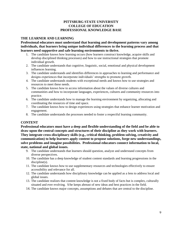## **PITTSBURG STATE UNIVERSITY COLLEGE OF EDUCATION PROFESSIONAL KNOWLEDGE BASE**

#### **THE LEARNER AND LEARNING**

**Professional educators must understand that learning and development patterns vary among individuals, that learners bring unique individual differences to the learning process and that learners need supportive and safe learning environments to thrive.**

- 1. The candidate knows how learning occurs (how learners construct knowledge, acquire skills and develop disciplined thinking processes) and how to use instructional strategies that promote individual growth.
- 2. The candidate understands that cognitive, linguistic, social, emotional and physical development influences learning.
- 3. The candidate understands and identifies differences in approaches to learning and performance and designs experiences that incorporate individuals' strengths to promote growth.
- 4. The candidate understands students with exceptional needs and knows how to use strategies and resources to meet these needs.
- 5. The candidate knows how to access information about the values of diverse cultures and communities and how to incorporate languages, experiences, cultures and community resources into practice.
- 6. The candidate understands how to manage the learning environment by organizing, allocating and coordinating the resources of time and space.
- 7. The candidate knows how to design experiences using strategies that enhance learner motivation and engagement.
- 8. The candidate understands the processes needed to foster a respectful learning community.

#### **CONTENT**

**Professional educators must have a deep and flexible understanding of the field and be able to draw upon the central concepts and structures of their discipline as they work with learners. They integrate cross-disciplinary skills (e.g., critical thinking, problem solving, creativity and communication) to help learners apply content to propose solutions, forge new understandings, solve problems and imagine possibilities. Professional educators connect information to local, state, national and global issues.**

- 9. The candidate understands that learners should question, analyze and understand concepts from diverse perspectives.
- 10. The candidate has a deep knowledge of student content standards and learning progressions in the discipline(s).
- 11. The candidate knows how to use supplementary resources and technologies effectively to ensure accessibility and relevance for all.
- 12. The candidate understands how disciplinary knowledge can be applied as a lens to address local and global issues.
- 13. The candidate realizes that content knowledge is not a fixed body of facts but is complex, culturally situated and ever evolving. S/he keeps abreast of new ideas and best practices in the field.
- 14. The candidate knows major concepts, assumptions and debates that are central to the discipline.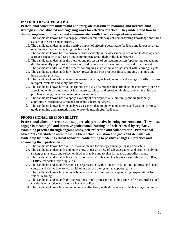#### **INSTRUCTIONAL PRACTICE**

**Professional educators understand and integrate assessment, planning and instructional strategies in coordinated and engaging ways for effective practice. They understand how to design, implement, interpret and communicate results from a range of assessments.**

- 15. The candidate knows how to engage learners in multiple ways of demonstrating knowledge and skills as part of the assessment process.
- 16. The candidate understands the positive impact of effective descriptive feedback and knows a variety of strategies for communicating this feedback.
- 17. The candidate knows how to engage learners actively in the assessment process and to develop each learner's capacity to reflect on and communicate about their individual progress.
- 18. The candidate understands the theories and processes of curriculum design (appropriate sequencing, developmentally appropriate instruction, builds on learners' prior knowledge and experiences).
- 19. The candidate understands the process for aligning instruction and assessment with learning targets.
- 20. The candidate understands how theory, research and best practices impact ongoing planning and instructional practice.
- 21. The candidate knows how to engage learners in using technology tools and a range of skills to access, interpret, evaluate and apply information.
- 22. The candidate knows how to incorporate a variety of strategies that stimulate the cognitive processes associated with various kinds of learning (e.g., critical and creative thinking, problem framing and problem solving, invention, memorization and recall).
- 23. The candidate knows how to apply a variety of developmentally, culturally and linguistically appropriate instructional strategies to achieve learning targets.
- 24. The candidate knows how to analyze assessment data to understand patterns and gaps in learning, to guide planning and instruction and to provide meaningful feedback.

#### **PROFESSIONAL RESPONSIBILITY**

**Professional educators create and support safe, productive learning environments. They must engage in meaningful and intensive professional learning and self-renewal by regularly examining practice through ongoing study, self-reflection and collaboration. Professional educators contribute to accomplishing their school's mission and goals and demonstrate leadership by modeling ethical behavior, contributing to positive changes in practice and advancing their profession.**

- 25. The candidate knows how to use information and technology ethically, legally and safely.
- 26. The candidate understands and knows how to use a variety of self-assessment and problem-solving strategies to analyze and reflect on his/her practice and to plan for adaptations/adjustments.
- 27. The candidate understands laws related to learners' rights and teacher responsibilities (e.g., IDEA, FERPA, mandated reporting, etc.).
- 28. The candidate understands schools as organizations within a historical, cultural, political and social context and knows how to work with others across the system to support learners.
- 29. The candidate knows how to contribute to a common culture that supports high expectations for student learning.
- 30. The candidate understands the expectations of the profession including codes of ethics, professional standards of practice and relevant law and policy.
- 31. The candidate knows how to communicate effectively with all members of the learning community.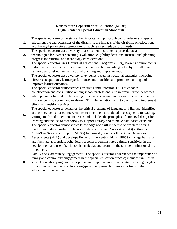## **Kansas State Department of Education (KSDE) High-Incidence Special Education Standards**

| 1. | The special educator understands the historical and philosophical foundations of special<br>education, the characteristics of the disability, the impacts of the disability on education, |
|----|-------------------------------------------------------------------------------------------------------------------------------------------------------------------------------------------|
|    | and the legal parameters appropriate for each learner's educational needs.                                                                                                                |
|    | The special educator uses a variety of assessment instruments, procedures, and                                                                                                            |
| 2. | technologies for learner screening, evaluation, eligibility decisions, instructional planning,                                                                                            |
|    | progress monitoring, and technology considerations                                                                                                                                        |
|    | The special educator uses Individual Educational Programs (IEPs), learning environments,                                                                                                  |
| 3. | individual learner characteristics, assessment, teacher knowledge of subject matter, and                                                                                                  |
|    | technology for effective instructional planning and implementation.                                                                                                                       |
|    | The special educator uses a variety of evidence-based instructional strategies, including                                                                                                 |
| 4. | effective adaptations, learner performance, and transitions; to promote learning and                                                                                                      |
|    | improve learner outcomes.                                                                                                                                                                 |
|    | The special educator demonstrates effective communication skills to enhance                                                                                                               |
| 5. | collaboration and consultation among school professionals, to improve learner outcomes                                                                                                    |
|    | while planning for and implementing effective instruction and services; to implement the                                                                                                  |
|    | IEP, deliver instruction, and evaluate IEP implementation; and, to plan for and implement                                                                                                 |
|    | effective transition services.                                                                                                                                                            |
|    | The special educator understands the critical elements of language and literacy; identifies                                                                                               |
| 6. | and uses evidence-based interventions to meet the instructional needs specific to reading,                                                                                                |
|    | writing, math and other content areas; and includes the principles of universal design for                                                                                                |
|    | learning and the use of technology to support literacy and to make data-based decisions.                                                                                                  |
|    | The special educator demonstrates knowledge and skill in the use of problem solving                                                                                                       |
|    | models, including Positive Behavioral Interventions and Supports (PBIS) within the                                                                                                        |
|    | Multi-Tier System of Support (MTSS) framework; conducts Functional Behavioral                                                                                                             |
| 7. | Assessments (FBA) and develops Behavior Intervention Plans (BIP) to manage behavior                                                                                                       |
|    | and facilitate appropriate behavioral responses; demonstrates cultural sensitivity in the                                                                                                 |
|    | development and use of social skills curricula; and promotes the self-determination skills                                                                                                |
|    | of learners.                                                                                                                                                                              |
| 8. | Family and Community Engagement - The special educator understands the importance of                                                                                                      |
|    | family and community engagement in the special education process; includes families in                                                                                                    |
|    | special education program development and implementation; understands the legal rights                                                                                                    |
|    | of families; and works to actively engage and empower families as partners in the                                                                                                         |
|    | education of the learner.                                                                                                                                                                 |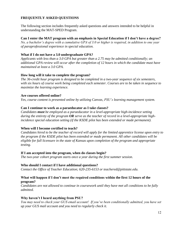# **FREQUENTLY ASKED QUESTIONS**

The following section includes frequently asked questions and answers intended to be helpful in understanding the MAT-SPED Program.

#### **Can I enter the MAT program with an emphasis in Special Education if I don't have a degree?**

*No, a bachelor's degree with a cumulative GPA of 3.0 or higher is required, in addition to one year of paraprofessional experience in special education.* 

## **What if I do not have a 3.0 undergraduate GPA?**

*Applicants with less than a 3.0 GPA but greater than a 2.75 may be admitted conditionally; an additional GPA review will occur after the completion of 12 hours in which the candidate must have maintained at least a 3.0 GPA.* 

## **How long will it take to complete the program?**

*The 36-credit hour program is designed to be completed in a two-year sequence of six semesters, with six hours of course work being completed each semester*. *Courses are to be taken in sequence to maximize the learning experience.*

#### **Are courses offered online?**

*Yes, course content is presented online by utilizing Canvas, PSU's learning management system.* 

#### **Can I continue to work as a paraeducator as I take classes?**

*Candidates must be employed as a paraeducator in a level-appropriate high-incidence setting during the entirety of the program OR serve as the teacher of record in a level-appropriate highincidence special education setting (if the KSDE pilot has been extended or made permanent).*

#### **When will I become certified to teach?**

*Candidates hired to be the teacher of record will apply for the limited apprentice license upon entry to the program if the KSDE pilot has been extended or made permanent. All other candidates will be eligible for full licensure in the state of Kansas upon completion of the program and appropriate testing.*

#### **If I am accepted into the program, when do classes begin?**

*The two-year cohort program starts once a year during the first summer session.* 

#### **Who should I contact if I have additional questions?**

*Contact the Office of Teacher Education; 620-235-6153 or teachered@pittstate.edu.*

#### **What will happen if I don't meet the required conditions within the first 12 hours of the program?**

*Candidates are not allowed to continue in coursework until they have met all conditions to be fully admitted.* 

#### **Why haven't I heard anything from PSU?**

*You may need to check your GUS email account! If you've been conditionally admitted, you have set up your GUS mail account and you need to regularly check it.*